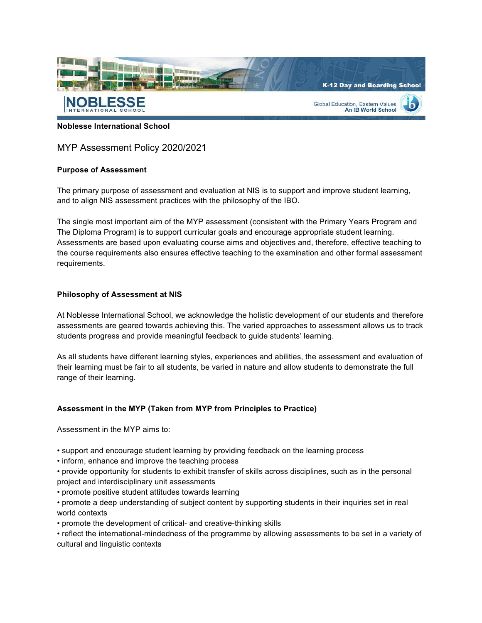

**Noblesse International School**

MYP Assessment Policy 2020/2021

### **Purpose of Assessment**

The primary purpose of assessment and evaluation at NIS is to support and improve student learning, and to align NIS assessment practices with the philosophy of the IBO.

The single most important aim of the MYP assessment (consistent with the Primary Years Program and The Diploma Program) is to support curricular goals and encourage appropriate student learning. Assessments are based upon evaluating course aims and objectives and, therefore, effective teaching to the course requirements also ensures effective teaching to the examination and other formal assessment requirements.

### **Philosophy of Assessment at NIS**

At Noblesse International School, we acknowledge the holistic development of our students and therefore assessments are geared towards achieving this. The varied approaches to assessment allows us to track students progress and provide meaningful feedback to guide students' learning.

As all students have different learning styles, experiences and abilities, the assessment and evaluation of their learning must be fair to all students, be varied in nature and allow students to demonstrate the full range of their learning.

#### **Assessment in the MYP (Taken from MYP from Principles to Practice)**

Assessment in the MYP aims to:

- support and encourage student learning by providing feedback on the learning process
- inform, enhance and improve the teaching process
- provide opportunity for students to exhibit transfer of skills across disciplines, such as in the personal project and interdisciplinary unit assessments
- promote positive student attitudes towards learning
- promote a deep understanding of subject content by supporting students in their inquiries set in real world contexts
- promote the development of critical- and creative-thinking skills
- reflect the international-mindedness of the programme by allowing assessments to be set in a variety of cultural and linguistic contexts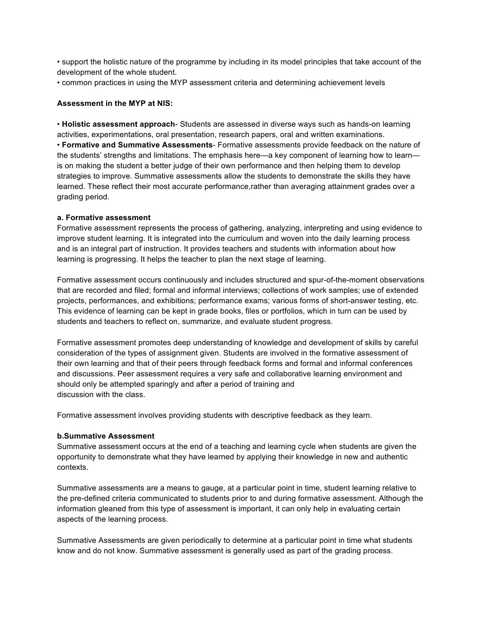• support the holistic nature of the programme by including in its model principles that take account of the development of the whole student.

• common practices in using the MYP assessment criteria and determining achievement levels

### **Assessment in the MYP at NIS:**

• **Holistic assessment approach**- Students are assessed in diverse ways such as hands-on learning activities, experimentations, oral presentation, research papers, oral and written examinations. • **Formative and Summative Assessments**- Formative assessments provide feedback on the nature of the students' strengths and limitations. The emphasis here—a key component of learning how to learn is on making the student a better judge of their own performance and then helping them to develop strategies to improve. Summative assessments allow the students to demonstrate the skills they have learned. These reflect their most accurate performance,rather than averaging attainment grades over a grading period.

### **a. Formative assessment**

Formative assessment represents the process of gathering, analyzing, interpreting and using evidence to improve student learning. It is integrated into the curriculum and woven into the daily learning process and is an integral part of instruction. It provides teachers and students with information about how learning is progressing. It helps the teacher to plan the next stage of learning.

Formative assessment occurs continuously and includes structured and spur-of-the-moment observations that are recorded and filed; formal and informal interviews; collections of work samples; use of extended projects, performances, and exhibitions; performance exams; various forms of short-answer testing, etc. This evidence of learning can be kept in grade books, files or portfolios, which in turn can be used by students and teachers to reflect on, summarize, and evaluate student progress.

Formative assessment promotes deep understanding of knowledge and development of skills by careful consideration of the types of assignment given. Students are involved in the formative assessment of their own learning and that of their peers through feedback forms and formal and informal conferences and discussions. Peer assessment requires a very safe and collaborative learning environment and should only be attempted sparingly and after a period of training and discussion with the class.

Formative assessment involves providing students with descriptive feedback as they learn.

## **b.Summative Assessment**

Summative assessment occurs at the end of a teaching and learning cycle when students are given the opportunity to demonstrate what they have learned by applying their knowledge in new and authentic contexts.

Summative assessments are a means to gauge, at a particular point in time, student learning relative to the pre-defined criteria communicated to students prior to and during formative assessment. Although the information gleaned from this type of assessment is important, it can only help in evaluating certain aspects of the learning process.

Summative Assessments are given periodically to determine at a particular point in time what students know and do not know. Summative assessment is generally used as part of the grading process.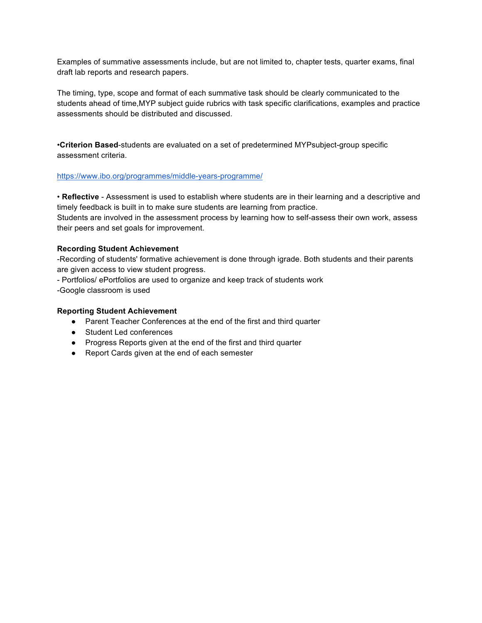Examples of summative assessments include, but are not limited to, chapter tests, quarter exams, final draft lab reports and research papers.

The timing, type, scope and format of each summative task should be clearly communicated to the students ahead of time,MYP subject guide rubrics with task specific clarifications, examples and practice assessments should be distributed and discussed.

•**Criterion Based**-students are evaluated on a set of predetermined MYPsubject-group specific assessment criteria.

### https://www.ibo.org/programmes/middle-years-programme/

• **Reflective** - Assessment is used to establish where students are in their learning and a descriptive and timely feedback is built in to make sure students are learning from practice.

Students are involved in the assessment process by learning how to self-assess their own work, assess their peers and set goals for improvement.

### **Recording Student Achievement**

-Recording of students' formative achievement is done through igrade. Both students and their parents are given access to view student progress.

- Portfolios/ ePortfolios are used to organize and keep track of students work

-Google classroom is used

### **Reporting Student Achievement**

- Parent Teacher Conferences at the end of the first and third quarter
- Student Led conferences
- Progress Reports given at the end of the first and third quarter
- Report Cards given at the end of each semester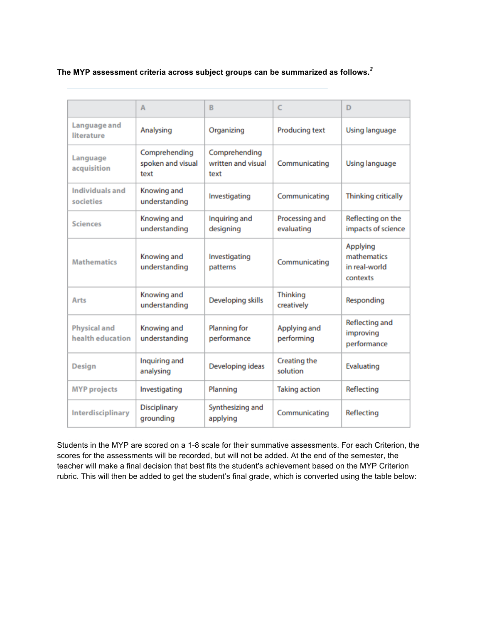**The MYP assessment criteria across subject groups can be summarized as follows.***<sup>2</sup>*

|                                         | A                                          | B                                           | C                             | D                                                    |
|-----------------------------------------|--------------------------------------------|---------------------------------------------|-------------------------------|------------------------------------------------------|
| Language and<br>literature              | Analysing                                  | Organizing                                  | Producing text                | Using language                                       |
| Language<br>acquisition                 | Comprehending<br>spoken and visual<br>text | Comprehending<br>written and visual<br>text | Communicating                 | Using language                                       |
| Individuals and<br>societies            | Knowing and<br>understanding               | Investigating                               | Communicating                 | <b>Thinking critically</b>                           |
| <b>Sciences</b>                         | Knowing and<br>understanding               | Inquiring and<br>designing                  | Processing and<br>evaluating  | Reflecting on the<br>impacts of science              |
| <b>Mathematics</b>                      | Knowing and<br>understanding               | Investigating<br>patterns                   | Communicating                 | Applying<br>mathematics<br>in real-world<br>contexts |
| Arts                                    | Knowing and<br>understanding               | Developing skills                           | <b>Thinking</b><br>creatively | Responding                                           |
| <b>Physical and</b><br>health education | Knowing and<br>understanding               | Planning for<br>performance                 | Applying and<br>performing    | Reflecting and<br>improving<br>performance           |
| <b>Design</b>                           | Inquiring and<br>analysing                 | Developing ideas                            | Creating the<br>solution      | Evaluating                                           |
| <b>MYP</b> projects                     | Investigating                              | Planning                                    | <b>Taking action</b>          | Reflecting                                           |
| Interdisciplinary                       | Disciplinary<br>grounding                  | Synthesizing and<br>applying                | Communicating                 | Reflecting                                           |

Students in the MYP are scored on a 1-8 scale for their summative assessments. For each Criterion, the scores for the assessments will be recorded, but will not be added. At the end of the semester, the teacher will make a final decision that best fits the student's achievement based on the MYP Criterion rubric. This will then be added to get the student's final grade, which is converted using the table below: